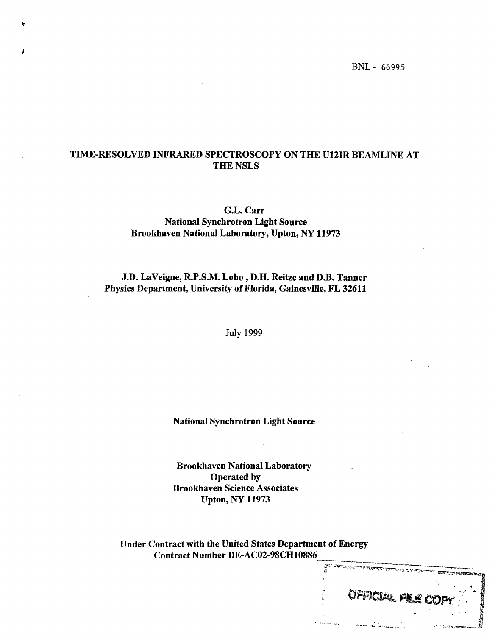# TIME-RESOLVED INFRARED SPECTROSCOPY ON THE U12IR BEAMLINE AT THE NSLS

G.L. Carr National Synchrotron Light Source Brookhaven National Laboratory, Upton, NY 11973

J.D. LaVeigne, R.P.S.M. Lobo , D.H. Reitze and D.B. Tanner Physics Department, University of Florida, Gainesville, FL 32611

July 1999

National Synchrotron Light Source

Brookhaven National Laboratory Operated by Brookhaven Science Associates Upton, NY 11973

Under Contract with the United States Department of Energy Contract Number DE-AC02-98CH10886

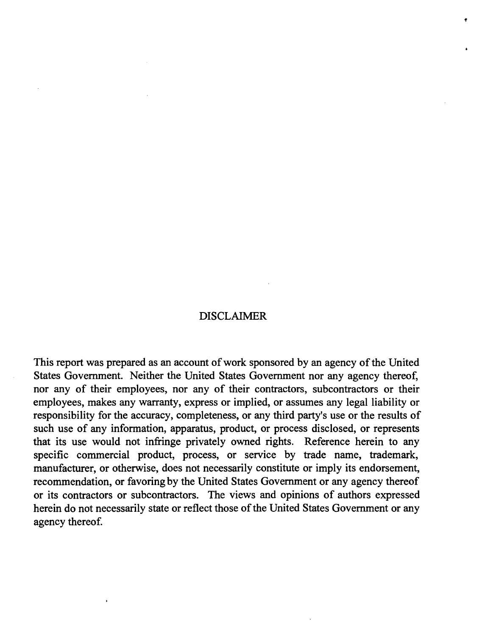# DISCLAIMER

This report was prepared as an account of work sponsored by an agency of the United States Government. Neither the United States Government nor any agency thereof, nor any of their employees, nor any of their contractors, subcontractors or their employees, makes any warranty, express or implied, or assumes any legal liability or responsibility for the accuracy, completeness, or any third party's use or the results of such use of any information, apparatus, product, or process disclosed, or represents that its use would not infringe privately owned rights. Reference herein to any specific commercial product, process, or service by trade name, trademark, manufacturer, or otherwise, does not necessarily constitute or imply its endorsement, recommendation, or favoring by the United States Government or any agency thereof or its contractors or subcontractors. The views and opinions of authors expressed herein do not necessarily state or reflect those of the United States Government or any agency thereof.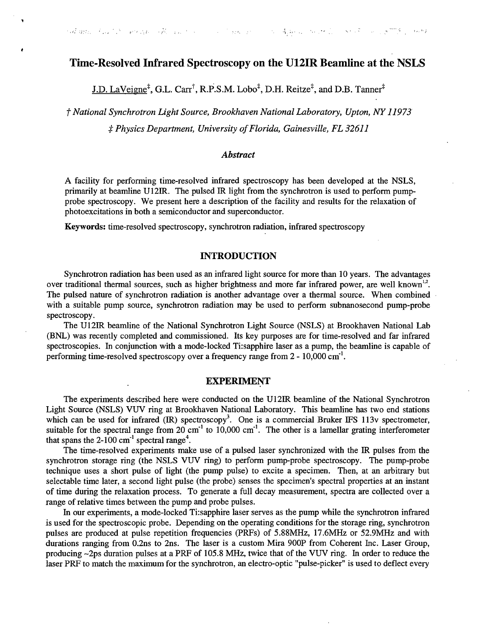## Time-Resolved Infrared Spectroscopy on the U12IR Beamline at the NSLS

 $J.D.$  LaVeigne<sup>‡</sup>, G.L. Carr<sup>†</sup>, R.P.S.M. Lobo<sup>‡</sup>, D.H. Reitze<sup>‡</sup>, and D.B. Tanner<sup>‡</sup>

*f National Synchrotron Light Source, Brookhaven National Laboratory, Upton, NY 11973 \$ Physics Department, University of Florida, Gainesville, FL 32611*

#### *Abstract*

A facility for performing time-resolved infrared spectroscopy has been developed at the NSLS, primarily at beamline U12IR. The pulsed IR light from the synchrotron is used to perform pumpprobe spectroscopy. We present here a description of the facility and results for the relaxation of photoexcitations in both a semiconductor and superconductor.

Keywords: time-resolved spectroscopy, synchrotron radiation, infrared spectroscopy

### **INTRODUCTION**

Synchrotron radiation has been used as an infrared light source for more than 10 years. The advantages over traditional thermal sources, such as higher brightness and more far infrared power, are well known<sup>1,2</sup>. The pulsed nature of synchrotron radiation is another advantage over a thermal source. When combined with a suitable pump source, synchrotron radiation may be used to perform subnanosecond pump-probe spectroscopy.

The U12IR beamline of the National Synchrotron Light Source (NSLS) at Brookhaven National Lab (BNL) was recently completed and commissioned. Its key purposes are for time-resolved and far infrared spectroscopies. In conjunction with a mode-locked Ti:sapphire laser as a pump, the beamline is capable of performing time-resolved spectroscopy over a frequency range from 2 - 10,000 cm<sup>-1</sup>.

#### EXPERIMENT

The experiments described here were conducted on the U12IR beamline of the National Synchrotron Light Source (NSLS) VUV ring at Brookhaven National Laboratory. This beamline has two end stations which can be used for infrared  $(IR)$  spectroscopy<sup>3</sup>. One is a commercial Bruker IFS 113v spectrometer, suitable for the spectral range from 20 cm<sup>-1</sup> to 10,000 cm<sup>-1</sup>. The other is a lamellar grating interferometer that spans the 2-100 cm<sup>-1</sup> spectral range<sup>4</sup>.

The time-resolved experiments make use of a pulsed laser synchronized with the IR pulses from the synchrotron storage ring (the NSLS VUV ring) to perform pump-probe spectroscopy. The pump-probe technique uses a short pulse of light (the pump pulse) to excite a specimen. Then, at an arbitrary but selectable time later, a second light pulse (the probe) senses the specimen's spectral properties at an instant of time during the relaxation process. To generate a full decay measurement, spectra are collected over a range of relative times between the pump and probe pulses.

In our experiments, a mode-locked Ti:sapphire laser serves as the pump while the synchrotron infrared is used for the spectroscopic probe. Depending on the operating conditions for the storage ring, synchrotron pulses are produced at pulse repetition frequencies (PRFs) of 5.88MHz, 17.6MHz or 52.9MHz and with durations ranging from 0.2ns to 2ns. The laser is a custom Mira 900P from Coherent Inc. Laser Group, producing  $-2$ ps duration pulses at a PRF of 105.8 MHz, twice that of the VUV ring. In order to reduce the laser PRF to match the maximum for the synchrotron, an electro-optic "pulse-picker" is used to deflect every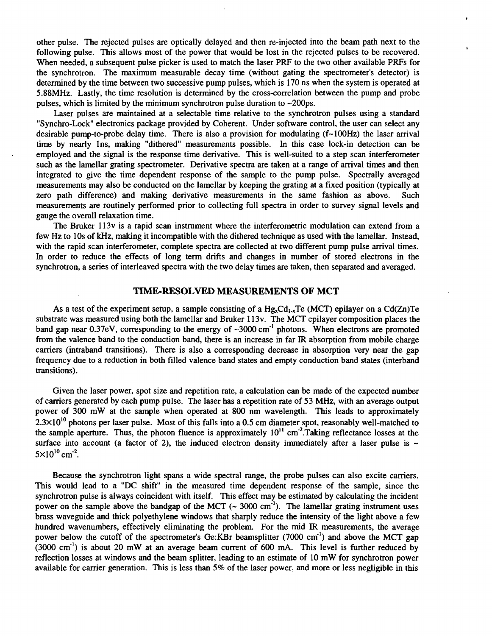other pulse. The rejected pulses are optically delayed and then re-injected into the beam path next to the following pulse. This allows most of the power that would be lost in the rejected pulses to be recovered. When needed, a subsequent pulse picker is used to match the laser PRF to the two other available PRFs for the synchrotron. The maximum measurable decay time (without gating the spectrometer's detector) is determined by the time between two successive pump pulses, which is 170 ns when the system is operated at 5.88MHz. Lastly, the time resolution is determined by the cross-correlation between the pump and probe pulses, which is limited by the minimum synchrotron pulse duration to  $\sim$  200 ps.

Laser pulses are maintained at a selectable time relative to the synchrotron pulses using a standard "Synchro-Lock" electronics package provided by Coherent. Under software control, the user can select any desirable pump-to-probe delay time. There is also a provision for modulating  $(f~100Hz)$  the laser arrival time by nearly Ins, making "dithered" measurements possible. In this case lock-in detection can be employed and the signal is the response time derivative. This is well-suited to a step scan interferometer such as the lamellar grating spectrometer. Derivative spectra are taken at a range of arrival times and then integrated to give the time dependent response of the sample to the pump pulse. Spectrally averaged measurements may also be conducted on the lamellar by keeping the grating at a fixed position (typically at zero path difference) and making derivative measurements in the same fashion as above. Such measurements are routinely performed prior to collecting full spectra in order to survey signal levels and gauge the overall relaxation time.

The Bruker 113v is a rapid scan instrument where the interferometric modulation can extend from a few Hz to 10s of kHz, making it incompatible with the dithered technique as used with the lamellar. Instead, with the rapid scan interferometer, complete spectra are collected at two different pump pulse arrival times. In order to reduce the effects of long term drifts and changes in number of stored electrons in the synchrotron, a series of interleaved spectra with the two delay times are taken, then separated and averaged.

#### TIME-RESOLVED MEASUREMENTS OF MCT

As a test of the experiment setup, a sample consisting of a  $Hg_xCd_{1-x}Te(MCT)$  epilayer on a Cd(Zn)Te substrate was measured using both the lamellar and Bruker 113v. The MCT epilayer composition places the band gap near  $0.37$ eV, corresponding to the energy of  $\sim 3000$  cm<sup>-1</sup> photons. When electrons are promoted from the valence band to the conduction band, there is an increase in far IR absorption from mobile charge carriers (intraband transitions). There is also a corresponding decrease in absorption very near the gap frequency due to a reduction in both filled valence band states and empty conduction band states (interband transitions).

Given the laser power, spot size and repetition rate, a calculation can be made of the expected number of carriers generated by each pump pulse. The laser has a repetition rate of 53 MHz, with an average output power of 300 mW at the sample when operated at 800 nm wavelength. This leads to approximately  $2.3\times10^{10}$  photons per laser pulse. Most of this falls into a 0.5 cm diameter spot, reasonably well-matched to the sample aperture. Thus, the photon fluence is approximately  $10^{11}$  cm<sup>-2</sup>. Taking reflectance losses at the surface into account (a factor of 2), the induced electron density immediately after a laser pulse is  $\sim$  $5 \times 10^{10}$  cm<sup>-2</sup>.

Because the synchrotron light spans a wide spectral range, the probe pulses can also excite carriers. This would lead to a "DC shift" in the measured time dependent response of the sample, since the synchrotron pulse is always coincident with itself. This effect may be estimated by calculating the incident power on the sample above the bandgap of the MCT  $($   $\sim$  3000 cm<sup>-1</sup> $)$ . The lamellar grating instrument uses brass waveguide and thick polyethylene windows that sharply reduce the intensity of the light above a few hundred wavenumbers, effectively eliminating the problem. For the mid IR measurements, the average power below the cutoff of the spectrometer's Ge:KBr beamsplitter (7000 cm<sup>-1</sup>) and above the MCT gap  $(3000 \text{ cm}^{-1})$  is about 20 mW at an average beam current of 600 mA. This level is further reduced by reflection losses at windows and the beam splitter, leading to an estimate of 10 mW for synchrotron power available for carrier generation. This is less than 5% of the laser power, and more or less negligible in this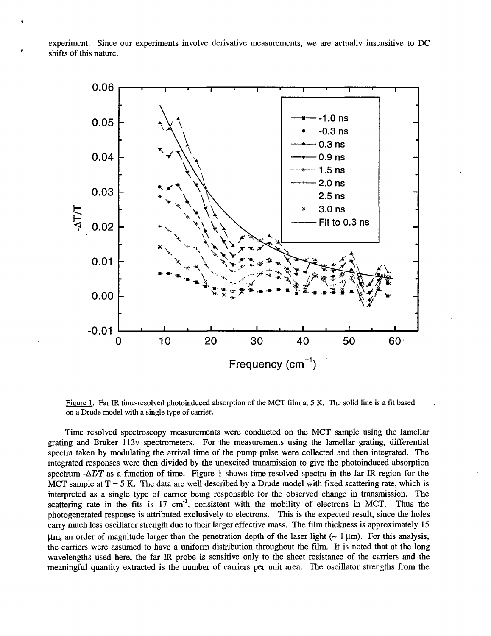experiment. Since our experiments involve derivative measurements, we are actually insensitive to DC shifts of this nature.



Figure 1. Far IR time-resolved photoinduced absorption of the MCT film at 5 K. The solid line is a fit based on a Drude model with a single type of carrier.

Time resolved spectroscopy measurements were conducted on the MCT sample using the lamellar grating and Bruker 113v spectrometers. For the measurements using the lamellar grating, differential spectra taken by modulating the arrival time of the pump pulse were collected and then integrated. The integrated responses were then divided by the unexcited transmission to give the photoinduced absorption spectrum  $-\Delta T/T$  as a function of time. Figure 1 shows time-resolved spectra in the far IR region for the MCT sample at  $T = 5$  K. The data are well described by a Drude model with fixed scattering rate, which is interpreted as a single type of carrier being responsible for the observed change in transmission. The scattering rate in the fits is 17  $cm^{-1}$ , consistent with the mobility of electrons in MCT. Thus the photogenerated response is attributed exclusively to electrons. This is the expected result, since the holes carry much less oscillator strength due to their larger effective mass. The film thickness is approximately 15  $\mu$ m, an order of magnitude larger than the penetration depth of the laser light ( $\sim 1 \,\mu$ m). For this analysis, the carriers were assumed to have a uniform distribution throughout the film. It is noted that at the long wavelengths used here, the far IR probe is sensitive only to the sheet resistance of the carriers and the meaningful quantity extracted is the number of carriers per unit area. The oscillator strengths from the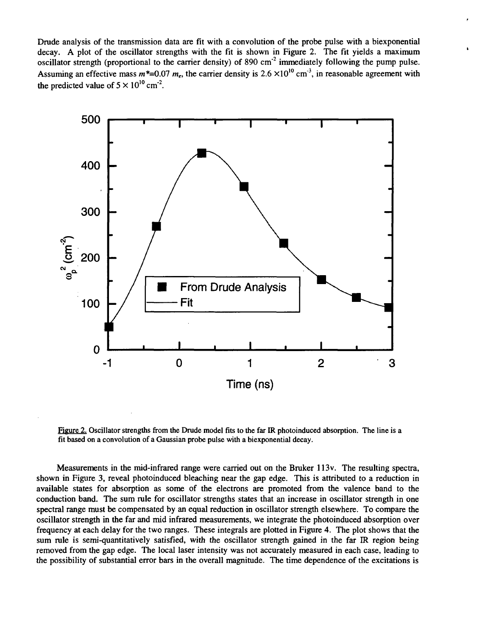Drude analysis of the transmission data are fit with a convolution of the probe pulse with a biexponential decay. A plot of the oscillator strengths with the fit is shown in Figure 2. The fit yields a maximum oscillator strength (proportional to the carrier density) of 890 cm<sup>-2</sup> immediately following the pump pulse. Assuming an effective mass  $m^*=0.07$  m<sub>e</sub>, the carrier density is  $2.6 \times 10^{10}$  cm<sup>-3</sup>, in reasonable agreement with the predicted value of  $5 \times 10^{10}$  cm<sup>-2</sup>.



Figure 2. Oscillator strengths from the Drude model fits to the far IR photoinduced absorption. The line is a fit based on a convolution of a Gaussian probe pulse with a biexponential decay.

Measurements in the mid-infrared range were carried out on the Bruker 113v. The resulting spectra, shown in Figure 3, reveal photoinduced bleaching near the gap edge. This is attributed to a reduction in available states for absorption as some of the electrons are promoted from the valence band to the conduction band. The sum rule for oscillator strengths states that an increase in oscillator strength in one spectral range must be compensated by an equal reduction in oscillator strength elsewhere. To compare the oscillator strength in the far and mid infrared measurements, we integrate the photoinduced absorption over frequency at each delay for the two ranges. These integrals are plotted in Figure 4. The plot shows that the sum rule is semi-quantitatively satisfied, with the oscillator strength gained in the far IR region being removed from the gap edge. The local laser intensity was not accurately measured in each case, leading to the possibility of substantial error bars in the overall magnitude. The time dependence of the excitations is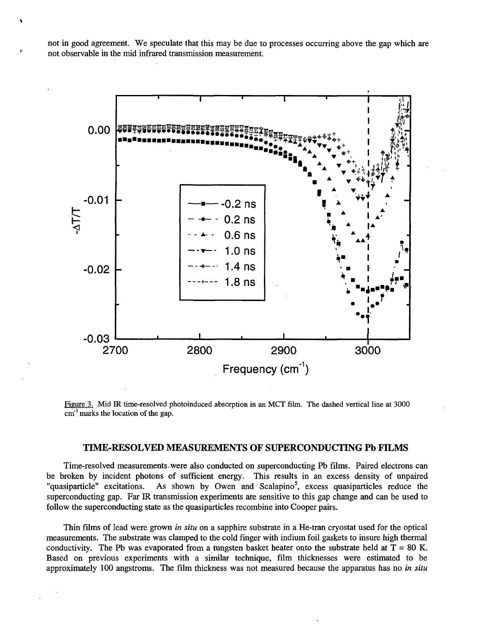not in good agreement. We speculate that this may be due to processes occurring above the gap which are not observable in the mid infrared transmission measurement.



Figure 3. Mid IR time-resolved photoinduced absorption in an MCT film. The dashed vertical line at 3000 cm<sup>-1</sup> marks the location of the gap.

#### TIME-RESOLVED MEASUREMENTS OF SUPERCONDUCTING Pb FILMS

Time-resolved measurements.were also conducted on superconducting Pb films. Paired electrons can be broken by incident photons of sufficient energy. This results in an excess density of unpaired "quasiparticle" excitations. As shown by Owen and Scalapino<sup>5</sup>, excess quasiparticles reduce the superconducting gap. Far IR transmission experiments are sensitive to this gap change and can be used to follow the superconducting state as the quasiparticles recombine into Cooper pairs.

Thin films of lead were grown *in situ* on a sapphire substrate in a He-tran cryostat used for the optical measurements. The substrate was clamped to the cold finger with indium foil gaskets to insure high thermal conductivity. The Pb was evaporated from a tungsten basket heater onto the substrate held at  $T = 80$  K. Based on previous experiments with a similar technique, film thicknesses were estimated to be approximately 100 angstroms. The film thickness was not measured because the apparatus has no *in situ*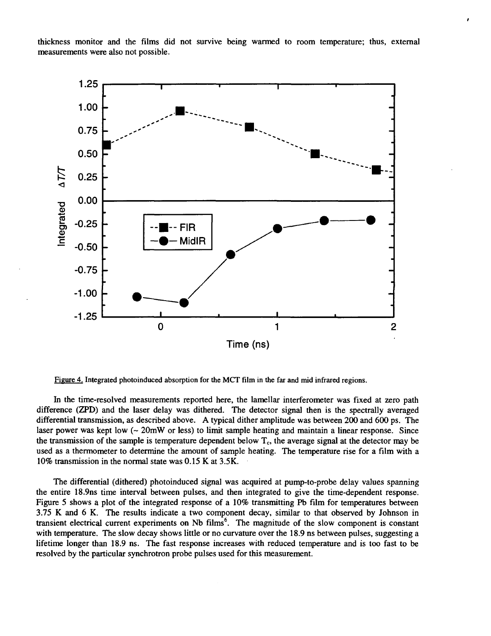thickness monitor and the films did not survive being warmed to room temperature; thus, external measurements were also not possible.



Figure 4. Integrated photoinduced absorption for the MCT film in the far and mid infrared regions.

In the time-resolved measurements reported here, the lamellar interferometer was fixed at zero path difference (ZPD) and the laser delay was dithered. The detector signal then is the spectrally averaged differential transmission, as described above. A typical dither amplitude was between 200 and 600 ps. The laser power was kept low  $(-20mW)$  or less) to limit sample heating and maintain a linear response. Since the transmission of the sample is temperature dependent below  $T_c$ , the average signal at the detector may be used as a thermometer to determine the amount of sample heating. The temperature rise for a film with a 10% transmission in the normal state was 0.15 K at 3.5K.

The differential (dithered) photoinduced signal was acquired at pump-to-probe delay values spanning the entire 18.9ns time interval between pulses, and then integrated to give the time-dependent response. Figure 5 shows a plot of the integrated response of a 10% transmitting Pb film for temperatures between 3.75 K and 6 K. The results indicate a two component decay, similar to that observed by Johnson in transient electrical current experiments on Nb  $\overline{\text{films}}^6$ . The magnitude of the slow component is constant with temperature. The slow decay shows little or no curvature over the 18.9 ns between pulses, suggesting a lifetime longer than 18.9 ns. The fast response increases with reduced temperature and is too fast to be resolved by the particular synchrotron probe pulses used for this measurement.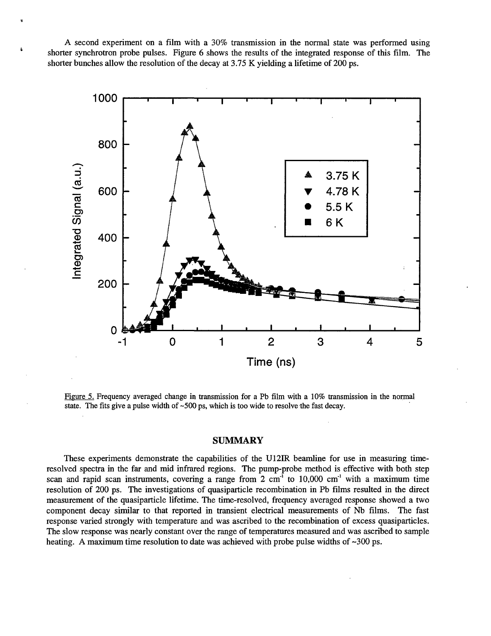A second experiment on a film with a 30% transmission in the normal state was performed using shorter synchrotron probe pulses. Figure 6 shows the results of the integrated response of this film. The shorter bunches allow the resolution of the decay at 3.75 K yielding a lifetime of 200 ps.



Figure 5. Frequency averaged change in transmission for a Pb film with a 10% transmission in the normal state. The fits give a pulse width of ~500 ps, which is too wide to resolve the fast decay.

#### SUMMARY

These experiments demonstrate the capabilities of the U12IR beamline for use in measuring timeresolved spectra in the far and mid infrared regions. The pump-probe method is effective with both step scan and rapid scan instruments, covering a range from  $2 \text{ cm}^1$  to 10,000 cm<sup>-1</sup> with a maximum time resolution of 200 ps. The investigations of quasiparticle recombination in Pb films resulted in the direct measurement of the quasiparticle lifetime. The time-resolved, frequency averaged response showed a two component decay similar to that reported in transient electrical measurements of Nb films. The fast response varied strongly with temperature and was ascribed to the recombination of excess quasiparticles. The slow response was nearly constant over the range of temperatures measured and was ascribed to sample heating. A maximum time resolution to date was achieved with probe pulse widths of  $\sim$ 300 ps.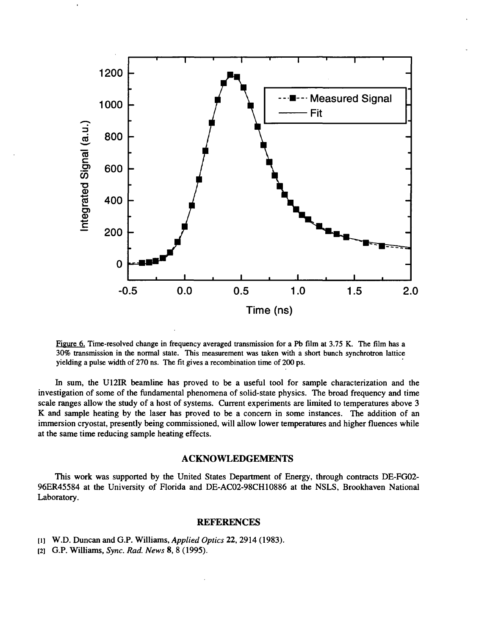

Figure 6. Time-resolved change in frequency averaged transmission for a Pb film at 3.75 K. The film has a 30% transmission in the normal state. This measurement was taken with a short bunch synchrotron lattice yielding a pulse width of 270 ns. The fit gives a recombination time of 200 ps.

In sum, the U12IR beamline has proved to be a useful tool for sample characterization and the investigation of some of the fundamental phenomena of solid-state physics. The broad frequency and time scale ranges allow the study of a host of systems. Current experiments are limited to temperatures above 3 K and sample heating by the laser has proved to be a concern in some instances. The addition of an immersion cryostat, presently being commissioned, will allow lower temperatures and higher fluences while at the same time reducing sample heating effects.

#### ACKNOWLEDGEMENTS

This work was supported by the United States Department of Energy, through contracts DE-FG02- 96ER45584 at the University of Florida and DE-AC02-98CH10886 at the NSLS, Brookhaven National Laboratory.

#### REFERENCES

- [i] W.D. Duncan and G.P. Williams, *Applied Optics* 22, 2914 (1983).
- [2] G.P. Williams, *Sync. Rod. News* 8, 8 (1995).